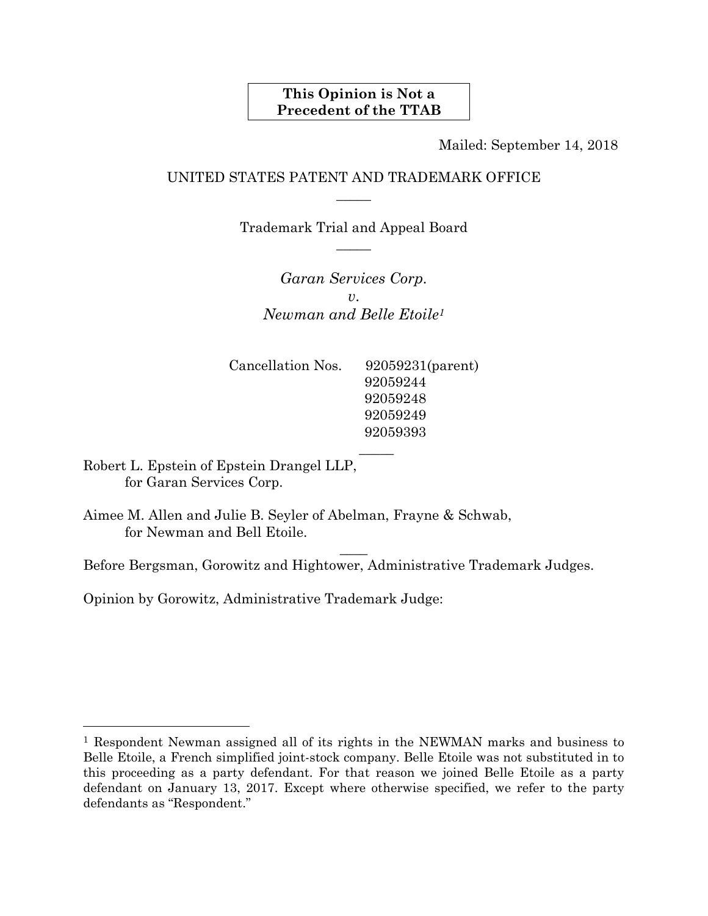#### **This Opinion is Not a Precedent of the TTAB**

Mailed: September 14, 2018

#### UNITED STATES PATENT AND TRADEMARK OFFICE  $\overline{\phantom{a}}$

Trademark Trial and Appeal Board  $\overline{\phantom{a}}$ 

*Garan Services Corp. v*. *Newman and Belle Etoile1*

 $\mathcal{L}=\frac{1}{2}$ 

 $\overline{\phantom{a}}$ 

92059393

Cancellation Nos. 92059231(parent) 92059244 92059248 92059249

Robert L. Epstein of Epstein Drangel LLP, for Garan Services Corp.

l

Aimee M. Allen and Julie B. Seyler of Abelman, Frayne & Schwab, for Newman and Bell Etoile.

Before Bergsman, Gorowitz and Hightower, Administrative Trademark Judges.

Opinion by Gorowitz, Administrative Trademark Judge:

<sup>1</sup> Respondent Newman assigned all of its rights in the NEWMAN marks and business to Belle Etoile, a French simplified joint-stock company. Belle Etoile was not substituted in to this proceeding as a party defendant. For that reason we joined Belle Etoile as a party defendant on January 13, 2017. Except where otherwise specified, we refer to the party defendants as "Respondent."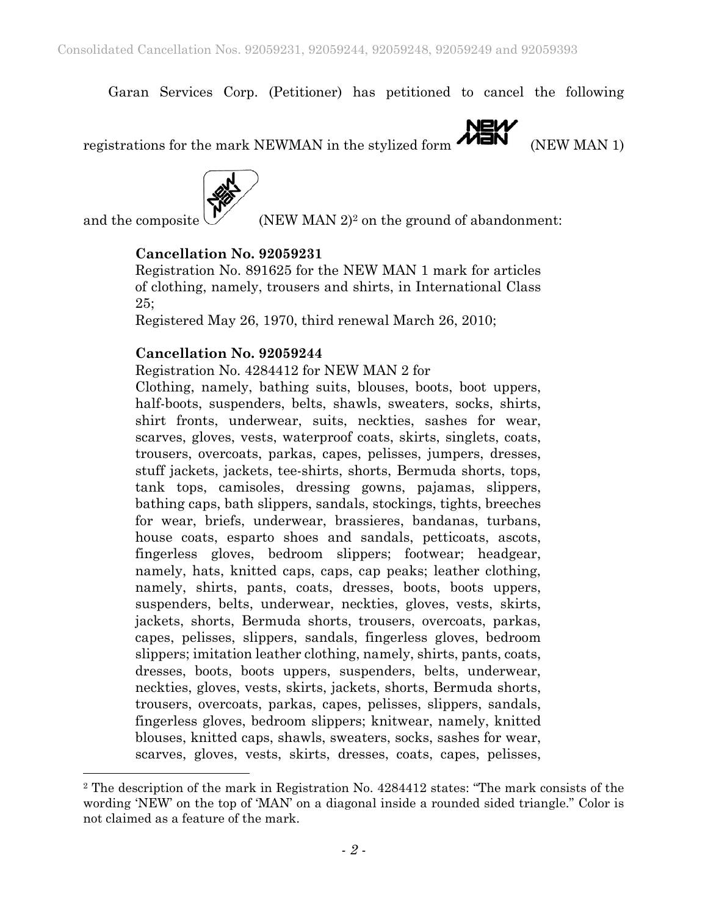Garan Services Corp. (Petitioner) has petitioned to cancel the following

registrations for the mark NEWMAN in the stylized form  $\overbrace{M=N}^{\text{NEN}}$  (NEW MAN 1)



l

and the composite  $\bigvee$  (NEW MAN 2)<sup>2</sup> on the ground of abandonment:

# **Cancellation No. 92059231**

Registration No. 891625 for the NEW MAN 1 mark for articles of clothing, namely, trousers and shirts, in International Class 25;

Registered May 26, 1970, third renewal March 26, 2010;

#### **Cancellation No. 92059244**

Registration No. 4284412 for NEW MAN 2 for

Clothing, namely, bathing suits, blouses, boots, boot uppers, half-boots, suspenders, belts, shawls, sweaters, socks, shirts, shirt fronts, underwear, suits, neckties, sashes for wear, scarves, gloves, vests, waterproof coats, skirts, singlets, coats, trousers, overcoats, parkas, capes, pelisses, jumpers, dresses, stuff jackets, jackets, tee-shirts, shorts, Bermuda shorts, tops, tank tops, camisoles, dressing gowns, pajamas, slippers, bathing caps, bath slippers, sandals, stockings, tights, breeches for wear, briefs, underwear, brassieres, bandanas, turbans, house coats, esparto shoes and sandals, petticoats, ascots, fingerless gloves, bedroom slippers; footwear; headgear, namely, hats, knitted caps, caps, cap peaks; leather clothing, namely, shirts, pants, coats, dresses, boots, boots uppers, suspenders, belts, underwear, neckties, gloves, vests, skirts, jackets, shorts, Bermuda shorts, trousers, overcoats, parkas, capes, pelisses, slippers, sandals, fingerless gloves, bedroom slippers; imitation leather clothing, namely, shirts, pants, coats, dresses, boots, boots uppers, suspenders, belts, underwear, neckties, gloves, vests, skirts, jackets, shorts, Bermuda shorts, trousers, overcoats, parkas, capes, pelisses, slippers, sandals, fingerless gloves, bedroom slippers; knitwear, namely, knitted blouses, knitted caps, shawls, sweaters, socks, sashes for wear, scarves, gloves, vests, skirts, dresses, coats, capes, pelisses,

<sup>2</sup> The description of the mark in Registration No. 4284412 states: "The mark consists of the wording 'NEW' on the top of 'MAN' on a diagonal inside a rounded sided triangle." Color is not claimed as a feature of the mark.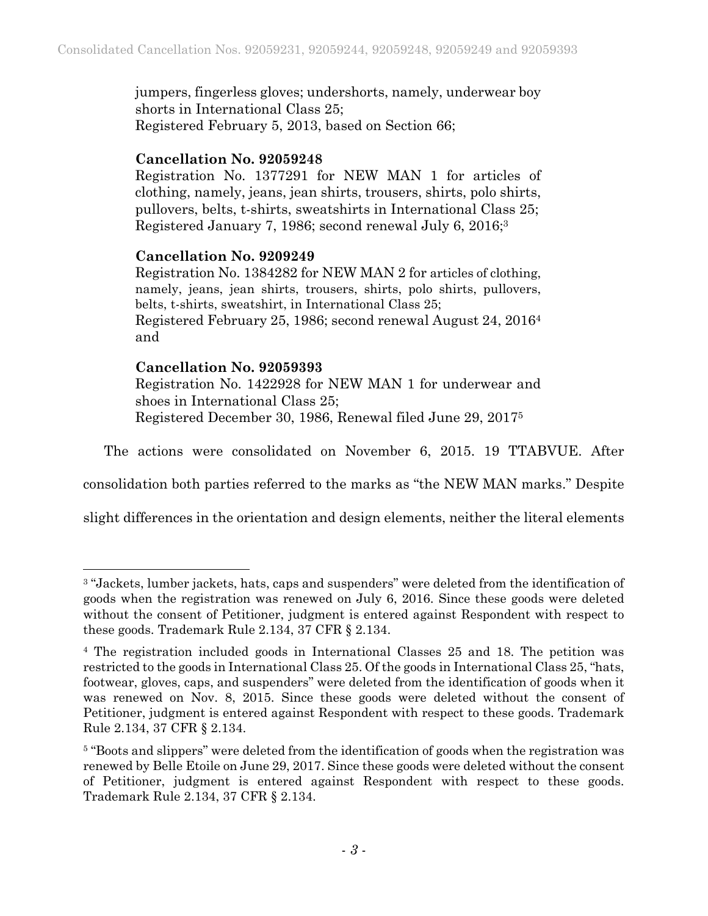jumpers, fingerless gloves; undershorts, namely, underwear boy shorts in International Class 25; Registered February 5, 2013, based on Section 66;

# **Cancellation No. 92059248**

Registration No. 1377291 for NEW MAN 1 for articles of clothing, namely, jeans, jean shirts, trousers, shirts, polo shirts, pullovers, belts, t-shirts, sweatshirts in International Class 25; Registered January 7, 1986; second renewal July 6, 2016;3

# **Cancellation No. 9209249**

Registration No. 1384282 for NEW MAN 2 for articles of clothing, namely, jeans, jean shirts, trousers, shirts, polo shirts, pullovers, belts, t-shirts, sweatshirt, in International Class 25; Registered February 25, 1986; second renewal August 24, 20164 and

# **Cancellation No. 92059393**

l

Registration No. 1422928 for NEW MAN 1 for underwear and shoes in International Class 25; Registered December 30, 1986, Renewal filed June 29, 20175

The actions were consolidated on November 6, 2015. 19 TTABVUE. After

consolidation both parties referred to the marks as "the NEW MAN marks." Despite

slight differences in the orientation and design elements, neither the literal elements

<sup>&</sup>lt;sup>3</sup> "Jackets, lumber jackets, hats, caps and suspenders" were deleted from the identification of goods when the registration was renewed on July 6, 2016. Since these goods were deleted without the consent of Petitioner, judgment is entered against Respondent with respect to these goods. Trademark Rule 2.134, 37 CFR § 2.134.

<sup>4</sup> The registration included goods in International Classes 25 and 18. The petition was restricted to the goods in International Class 25. Of the goods in International Class 25, "hats, footwear, gloves, caps, and suspenders" were deleted from the identification of goods when it was renewed on Nov. 8, 2015. Since these goods were deleted without the consent of Petitioner, judgment is entered against Respondent with respect to these goods. Trademark Rule 2.134, 37 CFR § 2.134.

<sup>&</sup>lt;sup>5</sup> "Boots and slippers" were deleted from the identification of goods when the registration was renewed by Belle Etoile on June 29, 2017. Since these goods were deleted without the consent of Petitioner, judgment is entered against Respondent with respect to these goods. Trademark Rule 2.134, 37 CFR § 2.134.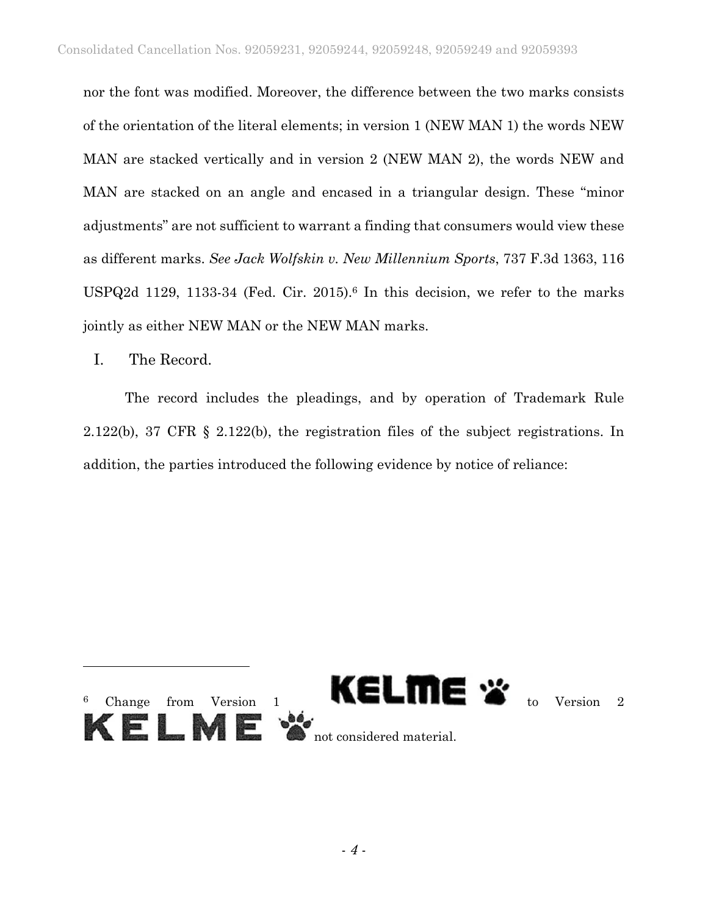nor the font was modified. Moreover, the difference between the two marks consists of the orientation of the literal elements; in version 1 (NEW MAN 1) the words NEW MAN are stacked vertically and in version 2 (NEW MAN 2), the words NEW and MAN are stacked on an angle and encased in a triangular design. These "minor adjustments" are not sufficient to warrant a finding that consumers would view these as different marks. *See Jack Wolfskin v. New Millennium Sports*, 737 F.3d 1363, 116 USPQ2d 1129, 1133-34 (Fed. Cir. 2015).<sup>6</sup> In this decision, we refer to the marks jointly as either NEW MAN or the NEW MAN marks.

I. The Record.

The record includes the pleadings, and by operation of Trademark Rule 2.122(b), 37 CFR § 2.122(b), the registration files of the subject registrations. In addition, the parties introduced the following evidence by notice of reliance:

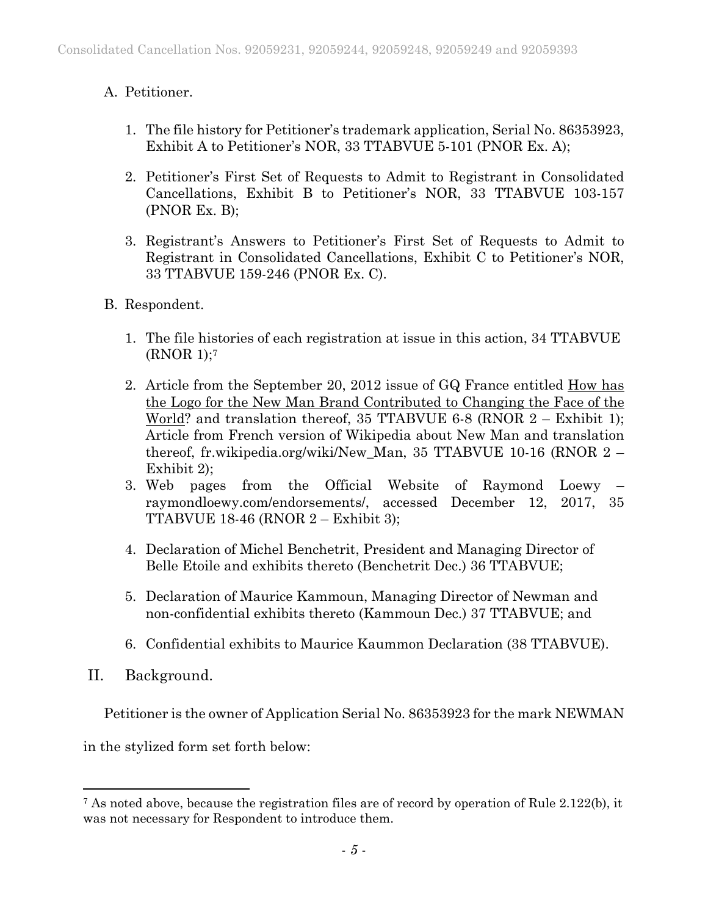# A. Petitioner.

- 1. The file history for Petitioner's trademark application, Serial No. 86353923, Exhibit A to Petitioner's NOR, 33 TTABVUE 5-101 (PNOR Ex. A);
- 2. Petitioner's First Set of Requests to Admit to Registrant in Consolidated Cancellations, Exhibit B to Petitioner's NOR, 33 TTABVUE 103-157 (PNOR Ex. B);
- 3. Registrant's Answers to Petitioner's First Set of Requests to Admit to Registrant in Consolidated Cancellations, Exhibit C to Petitioner's NOR, 33 TTABVUE 159-246 (PNOR Ex. C).
- B. Respondent.
	- 1. The file histories of each registration at issue in this action, 34 TTABVUE (RNOR 1);7
	- 2. Article from the September 20, 2012 issue of GQ France entitled How has the Logo for the New Man Brand Contributed to Changing the Face of the World? and translation thereof, 35 TTABVUE 6-8 (RNOR 2 – Exhibit 1); Article from French version of Wikipedia about New Man and translation thereof, fr.wikipedia.org/wiki/New\_Man, 35 TTABVUE 10-16 (RNOR 2 – Exhibit 2);
	- 3. Web pages from the Official Website of Raymond Loewy raymondloewy.com/endorsements/, accessed December 12, 2017, 35 TTABVUE 18-46 (RNOR 2 – Exhibit 3);
	- 4. Declaration of Michel Benchetrit, President and Managing Director of Belle Etoile and exhibits thereto (Benchetrit Dec.) 36 TTABVUE;
	- 5. Declaration of Maurice Kammoun, Managing Director of Newman and non-confidential exhibits thereto (Kammoun Dec.) 37 TTABVUE; and
	- 6. Confidential exhibits to Maurice Kaummon Declaration (38 TTABVUE).
- II. Background.

 $\overline{a}$ 

Petitioner is the owner of Application Serial No. 86353923 for the mark NEWMAN

in the stylized form set forth below:

<sup>7</sup> As noted above, because the registration files are of record by operation of Rule 2.122(b), it was not necessary for Respondent to introduce them.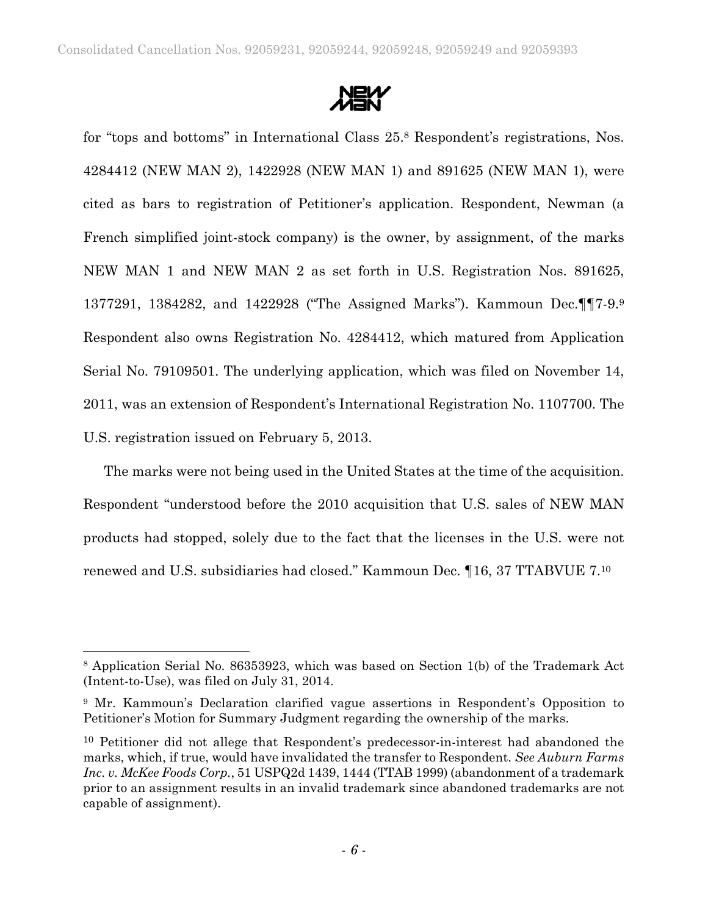

for "tops and bottoms" in International Class 25.8 Respondent's registrations, Nos. 4284412 (NEW MAN 2), 1422928 (NEW MAN 1) and 891625 (NEW MAN 1), were cited as bars to registration of Petitioner's application. Respondent, Newman (a French simplified joint-stock company) is the owner, by assignment, of the marks NEW MAN 1 and NEW MAN 2 as set forth in U.S. Registration Nos. 891625, 1377291, 1384282, and 1422928 ("The Assigned Marks"). Kammoun Dec.¶¶7-9.9 Respondent also owns Registration No. 4284412, which matured from Application Serial No. 79109501. The underlying application, which was filed on November 14, 2011, was an extension of Respondent's International Registration No. 1107700. The U.S. registration issued on February 5, 2013.

The marks were not being used in the United States at the time of the acquisition. Respondent "understood before the 2010 acquisition that U.S. sales of NEW MAN products had stopped, solely due to the fact that the licenses in the U.S. were not renewed and U.S. subsidiaries had closed." Kammoun Dec. ¶16, 37 TTABVUE 7.10

l

<sup>8</sup> Application Serial No. 86353923, which was based on Section 1(b) of the Trademark Act (Intent-to-Use), was filed on July 31, 2014.

<sup>9</sup> Mr. Kammoun's Declaration clarified vague assertions in Respondent's Opposition to Petitioner's Motion for Summary Judgment regarding the ownership of the marks.

<sup>10</sup> Petitioner did not allege that Respondent's predecessor-in-interest had abandoned the marks, which, if true, would have invalidated the transfer to Respondent. *See Auburn Farms Inc. v. McKee Foods Corp.*, 51 USPQ2d 1439, 1444 (TTAB 1999) (abandonment of a trademark prior to an assignment results in an invalid trademark since abandoned trademarks are not capable of assignment).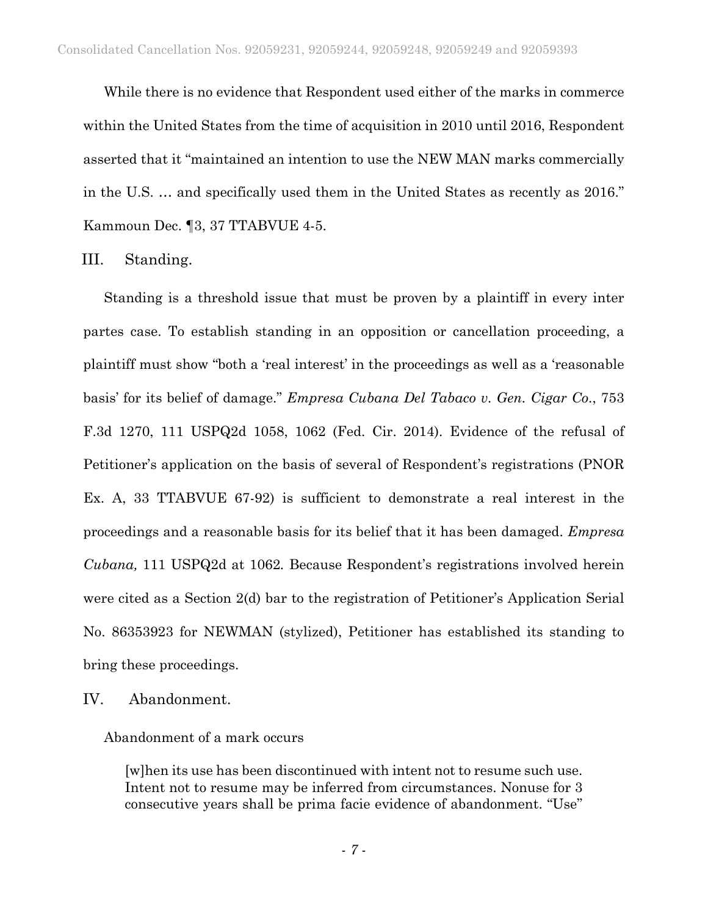While there is no evidence that Respondent used either of the marks in commerce within the United States from the time of acquisition in 2010 until 2016, Respondent asserted that it "maintained an intention to use the NEW MAN marks commercially in the U.S. … and specifically used them in the United States as recently as 2016." Kammoun Dec. ¶3, 37 TTABVUE 4-5.

#### III. Standing.

Standing is a threshold issue that must be proven by a plaintiff in every inter partes case. To establish standing in an opposition or cancellation proceeding, a plaintiff must show "both a 'real interest' in the proceedings as well as a 'reasonable basis' for its belief of damage." *Empresa Cubana Del Tabaco v. Gen. Cigar Co*., 753 F.3d 1270, 111 USPQ2d 1058, 1062 (Fed. Cir. 2014). Evidence of the refusal of Petitioner's application on the basis of several of Respondent's registrations (PNOR Ex. A, 33 TTABVUE 67-92) is sufficient to demonstrate a real interest in the proceedings and a reasonable basis for its belief that it has been damaged. *Empresa Cubana,* 111 USPQ2d at 1062*.* Because Respondent's registrations involved herein were cited as a Section 2(d) bar to the registration of Petitioner's Application Serial No. 86353923 for NEWMAN (stylized), Petitioner has established its standing to bring these proceedings.

IV. Abandonment.

Abandonment of a mark occurs

[w]hen its use has been discontinued with intent not to resume such use. Intent not to resume may be inferred from circumstances. Nonuse for 3 consecutive years shall be prima facie evidence of abandonment. "Use"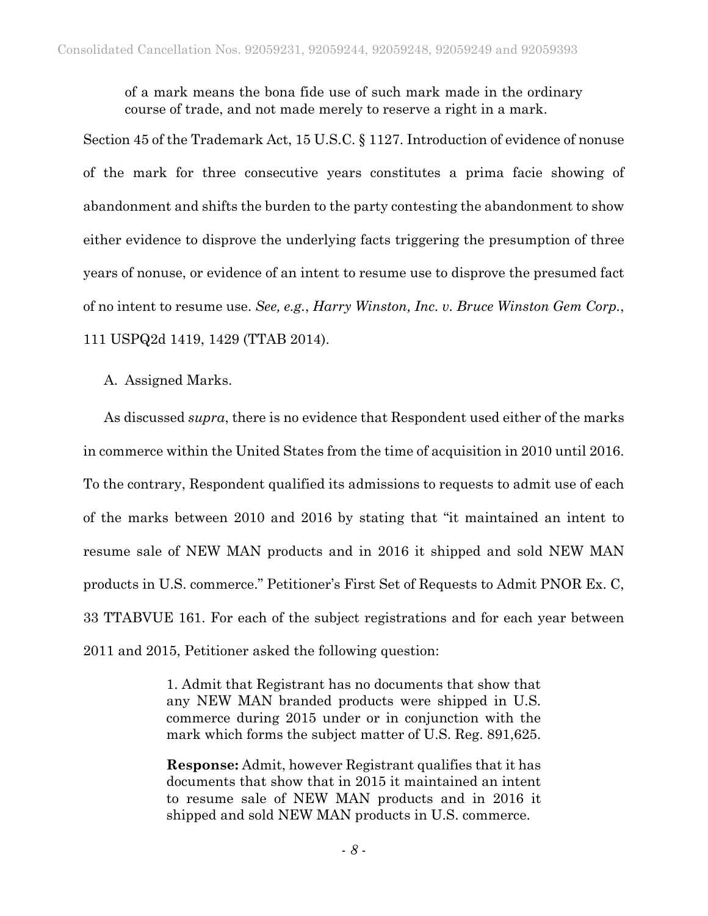of a mark means the bona fide use of such mark made in the ordinary course of trade, and not made merely to reserve a right in a mark.

Section 45 of the Trademark Act, 15 U.S.C. § 1127. Introduction of evidence of nonuse of the mark for three consecutive years constitutes a prima facie showing of abandonment and shifts the burden to the party contesting the abandonment to show either evidence to disprove the underlying facts triggering the presumption of three years of nonuse, or evidence of an intent to resume use to disprove the presumed fact of no intent to resume use. *See, e.g.*, *Harry Winston, Inc. v. Bruce Winston Gem Corp.*, 111 USPQ2d 1419, 1429 (TTAB 2014).

A. Assigned Marks.

As discussed *supra*, there is no evidence that Respondent used either of the marks in commerce within the United States from the time of acquisition in 2010 until 2016. To the contrary, Respondent qualified its admissions to requests to admit use of each of the marks between 2010 and 2016 by stating that "it maintained an intent to resume sale of NEW MAN products and in 2016 it shipped and sold NEW MAN products in U.S. commerce." Petitioner's First Set of Requests to Admit PNOR Ex. C, 33 TTABVUE 161. For each of the subject registrations and for each year between 2011 and 2015, Petitioner asked the following question:

> 1. Admit that Registrant has no documents that show that any NEW MAN branded products were shipped in U.S. commerce during 2015 under or in conjunction with the mark which forms the subject matter of U.S. Reg. 891,625.

> **Response:** Admit, however Registrant qualifies that it has documents that show that in 2015 it maintained an intent to resume sale of NEW MAN products and in 2016 it shipped and sold NEW MAN products in U.S. commerce.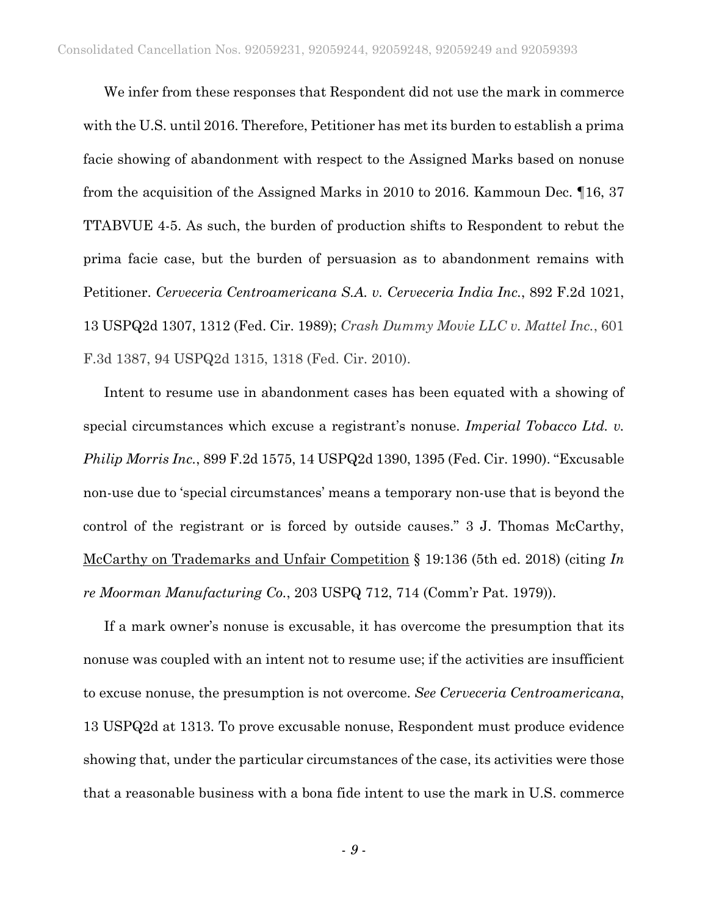We infer from these responses that Respondent did not use the mark in commerce with the U.S. until 2016. Therefore, Petitioner has met its burden to establish a prima facie showing of abandonment with respect to the Assigned Marks based on nonuse from the acquisition of the Assigned Marks in 2010 to 2016. Kammoun Dec. ¶16, 37 TTABVUE 4-5. As such, the burden of production shifts to Respondent to rebut the prima facie case, but the burden of persuasion as to abandonment remains with Petitioner. *Cerveceria Centroamericana S.A. v. Cerveceria India Inc.*, 892 F.2d 1021, 13 USPQ2d 1307, 1312 (Fed. Cir. 1989); *Crash Dummy Movie LLC v. Mattel Inc.*, 601 F.3d 1387, 94 USPQ2d 1315, 1318 (Fed. Cir. 2010).

Intent to resume use in abandonment cases has been equated with a showing of special circumstances which excuse a registrant's nonuse. *Imperial Tobacco Ltd. v. Philip Morris Inc.*, 899 F.2d 1575, 14 USPQ2d 1390, 1395 (Fed. Cir. 1990). "Excusable non-use due to 'special circumstances' means a temporary non-use that is beyond the control of the registrant or is forced by outside causes." 3 J. Thomas McCarthy, McCarthy on Trademarks and Unfair Competition § 19:136 (5th ed. 2018) (citing *In re Moorman Manufacturing Co.*, 203 USPQ 712, 714 (Comm'r Pat. 1979)).

If a mark owner's nonuse is excusable, it has overcome the presumption that its nonuse was coupled with an intent not to resume use; if the activities are insufficient to excuse nonuse, the presumption is not overcome. *See Cerveceria Centroamericana*, 13 USPQ2d at 1313. To prove excusable nonuse, Respondent must produce evidence showing that, under the particular circumstances of the case, its activities were those that a reasonable business with a bona fide intent to use the mark in U.S. commerce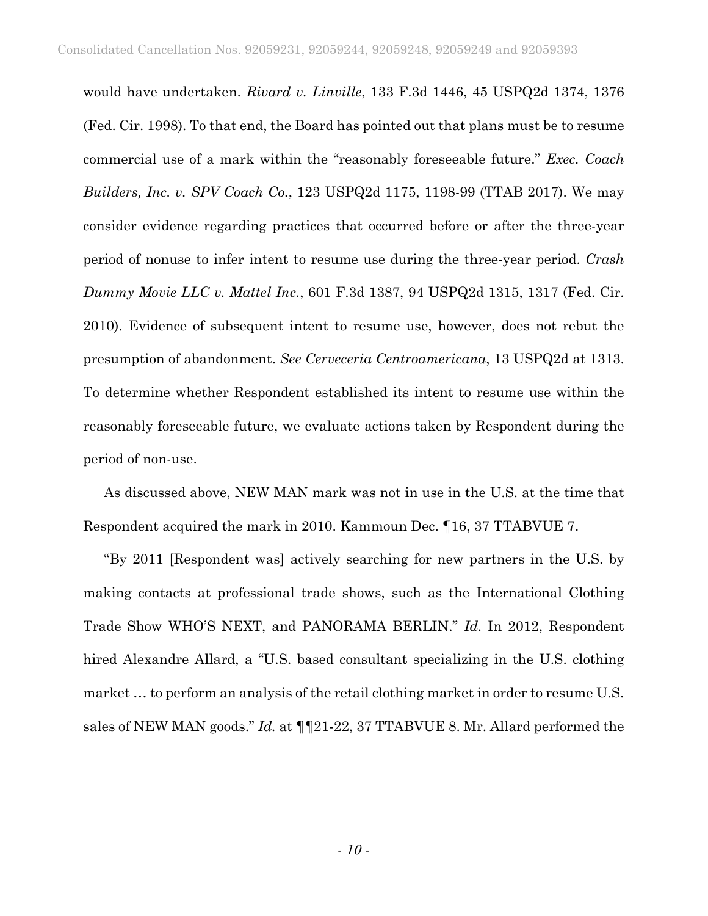would have undertaken. *Rivard v. Linville*, 133 F.3d 1446, 45 USPQ2d 1374, 1376 (Fed. Cir. 1998). To that end, the Board has pointed out that plans must be to resume commercial use of a mark within the "reasonably foreseeable future." *Exec. Coach Builders, Inc. v. SPV Coach Co.*, 123 USPQ2d 1175, 1198-99 (TTAB 2017). We may consider evidence regarding practices that occurred before or after the three-year period of nonuse to infer intent to resume use during the three-year period. *Crash Dummy Movie LLC v. Mattel Inc.*, 601 F.3d 1387, 94 USPQ2d 1315, 1317 (Fed. Cir. 2010). Evidence of subsequent intent to resume use, however, does not rebut the presumption of abandonment. *See Cerveceria Centroamericana*, 13 USPQ2d at 1313. To determine whether Respondent established its intent to resume use within the reasonably foreseeable future, we evaluate actions taken by Respondent during the period of non-use.

As discussed above, NEW MAN mark was not in use in the U.S. at the time that Respondent acquired the mark in 2010. Kammoun Dec. ¶16, 37 TTABVUE 7.

"By 2011 [Respondent was] actively searching for new partners in the U.S. by making contacts at professional trade shows, such as the International Clothing Trade Show WHO'S NEXT, and PANORAMA BERLIN." *Id.* In 2012, Respondent hired Alexandre Allard, a "U.S. based consultant specializing in the U.S. clothing market … to perform an analysis of the retail clothing market in order to resume U.S. sales of NEW MAN goods." *Id.* at *¶¶*21-22, 37 TTABVUE 8. Mr. Allard performed the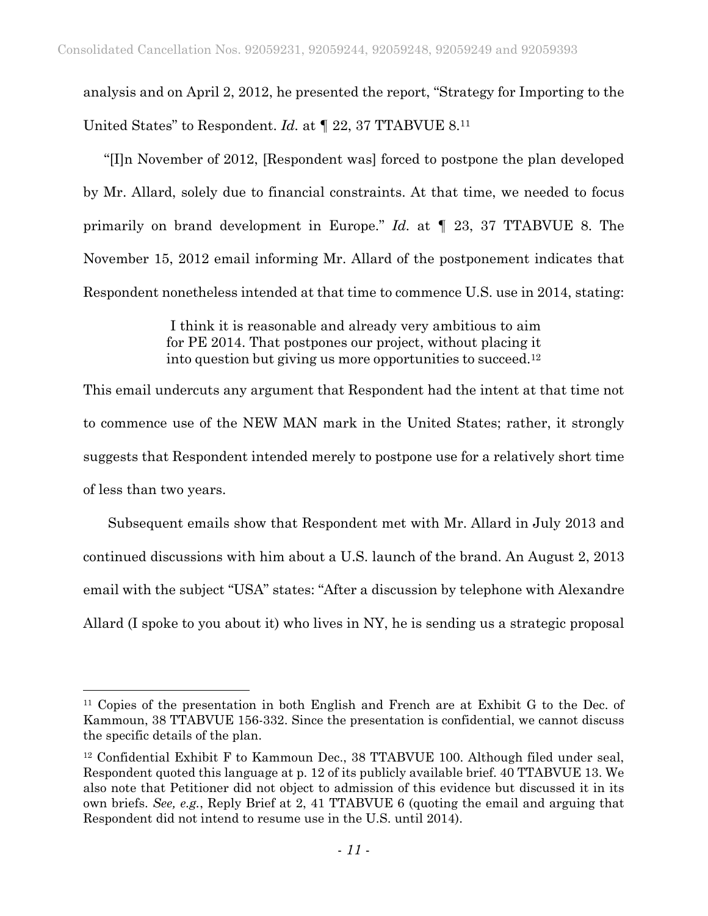analysis and on April 2, 2012, he presented the report, "Strategy for Importing to the United States" to Respondent. *Id.* at *¶* 22, 37 TTABVUE 8.11

"[I]n November of 2012, [Respondent was] forced to postpone the plan developed by Mr. Allard, solely due to financial constraints. At that time, we needed to focus primarily on brand development in Europe." *Id.* at *¶* 23, 37 TTABVUE 8. The November 15, 2012 email informing Mr. Allard of the postponement indicates that Respondent nonetheless intended at that time to commence U.S. use in 2014, stating:

> I think it is reasonable and already very ambitious to aim for PE 2014. That postpones our project, without placing it into question but giving us more opportunities to succeed.12

This email undercuts any argument that Respondent had the intent at that time not to commence use of the NEW MAN mark in the United States; rather, it strongly suggests that Respondent intended merely to postpone use for a relatively short time of less than two years.

 Subsequent emails show that Respondent met with Mr. Allard in July 2013 and continued discussions with him about a U.S. launch of the brand. An August 2, 2013 email with the subject "USA" states: "After a discussion by telephone with Alexandre Allard (I spoke to you about it) who lives in NY, he is sending us a strategic proposal

 $\overline{a}$ 

<sup>11</sup> Copies of the presentation in both English and French are at Exhibit G to the Dec. of Kammoun, 38 TTABVUE 156-332. Since the presentation is confidential, we cannot discuss the specific details of the plan.

<sup>&</sup>lt;sup>12</sup> Confidential Exhibit F to Kammoun Dec., 38 TTABVUE 100. Although filed under seal, Respondent quoted this language at p. 12 of its publicly available brief. 40 TTABVUE 13. We also note that Petitioner did not object to admission of this evidence but discussed it in its own briefs. *See, e.g.*, Reply Brief at 2, 41 TTABVUE 6 (quoting the email and arguing that Respondent did not intend to resume use in the U.S. until 2014).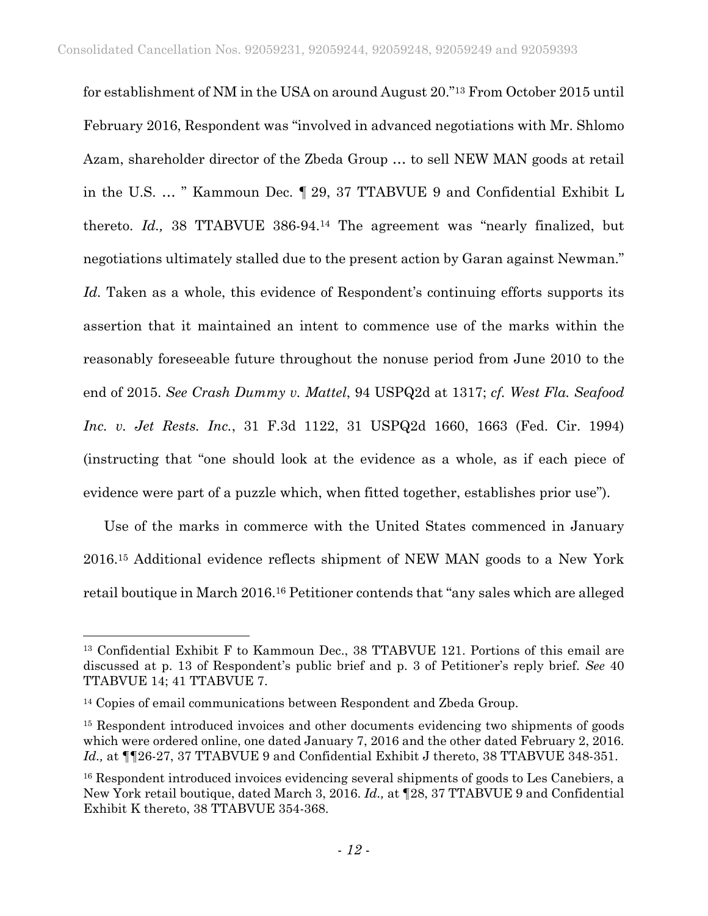for establishment of NM in the USA on around August 20."13 From October 2015 until February 2016, Respondent was "involved in advanced negotiations with Mr. Shlomo Azam, shareholder director of the Zbeda Group … to sell NEW MAN goods at retail in the U.S. … " Kammoun Dec. ¶ 29, 37 TTABVUE 9 and Confidential Exhibit L thereto. *Id.,* 38 TTABVUE 386-94.14 The agreement was "nearly finalized, but negotiations ultimately stalled due to the present action by Garan against Newman." Id. Taken as a whole, this evidence of Respondent's continuing efforts supports its assertion that it maintained an intent to commence use of the marks within the reasonably foreseeable future throughout the nonuse period from June 2010 to the end of 2015. *See Crash Dummy v. Mattel*, 94 USPQ2d at 1317; *cf. West Fla. Seafood Inc. v. Jet Rests. Inc.*, 31 F.3d 1122, 31 USPQ2d 1660, 1663 (Fed. Cir. 1994) (instructing that "one should look at the evidence as a whole, as if each piece of evidence were part of a puzzle which, when fitted together, establishes prior use").

Use of the marks in commerce with the United States commenced in January 2016.15 Additional evidence reflects shipment of NEW MAN goods to a New York retail boutique in March 2016.16 Petitioner contends that "any sales which are alleged

 $\overline{a}$ 

<sup>13</sup> Confidential Exhibit F to Kammoun Dec., 38 TTABVUE 121. Portions of this email are discussed at p. 13 of Respondent's public brief and p. 3 of Petitioner's reply brief. *See* 40 TTABVUE 14; 41 TTABVUE 7.

<sup>&</sup>lt;sup>14</sup> Copies of email communications between Respondent and Zbeda Group.

<sup>&</sup>lt;sup>15</sup> Respondent introduced invoices and other documents evidencing two shipments of goods which were ordered online, one dated January 7, 2016 and the other dated February 2, 2016. *Id.*, at  $\P$ [26-27, 37 TTABVUE 9 and Confidential Exhibit J thereto, 38 TTABVUE 348-351.

<sup>&</sup>lt;sup>16</sup> Respondent introduced invoices evidencing several shipments of goods to Les Canebiers, a New York retail boutique, dated March 3, 2016. *Id.,* at ¶28, 37 TTABVUE 9 and Confidential Exhibit K thereto, 38 TTABVUE 354-368.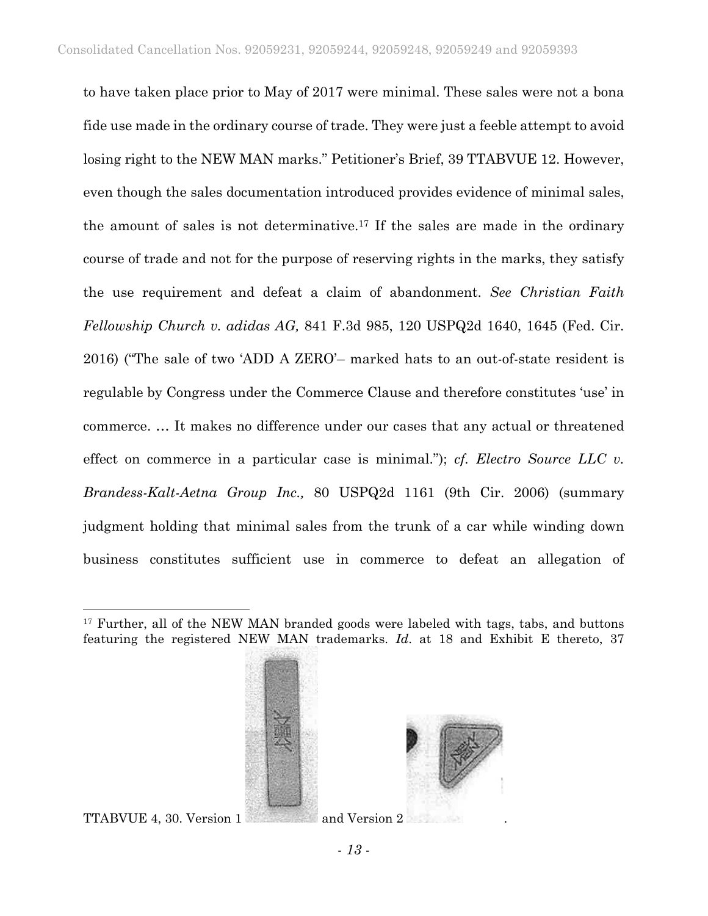to have taken place prior to May of 2017 were minimal. These sales were not a bona fide use made in the ordinary course of trade. They were just a feeble attempt to avoid losing right to the NEW MAN marks." Petitioner's Brief, 39 TTABVUE 12. However, even though the sales documentation introduced provides evidence of minimal sales, the amount of sales is not determinative.17 If the sales are made in the ordinary course of trade and not for the purpose of reserving rights in the marks, they satisfy the use requirement and defeat a claim of abandonment. *See Christian Faith Fellowship Church v. adidas AG,* 841 F.3d 985, 120 USPQ2d 1640, 1645 (Fed. Cir. 2016) ("The sale of two 'ADD A ZERO'– marked hats to an out-of-state resident is regulable by Congress under the Commerce Clause and therefore constitutes 'use' in commerce. … It makes no difference under our cases that any actual or threatened effect on commerce in a particular case is minimal."); *cf. Electro Source LLC v. Brandess-Kalt-Aetna Group Inc.,* 80 USPQ2d 1161 (9th Cir. 2006) (summary judgment holding that minimal sales from the trunk of a car while winding down business constitutes sufficient use in commerce to defeat an allegation of

<sup>&</sup>lt;sup>17</sup> Further, all of the NEW MAN branded goods were labeled with tags, tabs, and buttons featuring the registered NEW MAN trademarks. *Id*. at 18 and Exhibit E thereto, 37



TTABVUE 4, 30. Version 1 and Version 2

 $\overline{a}$ 

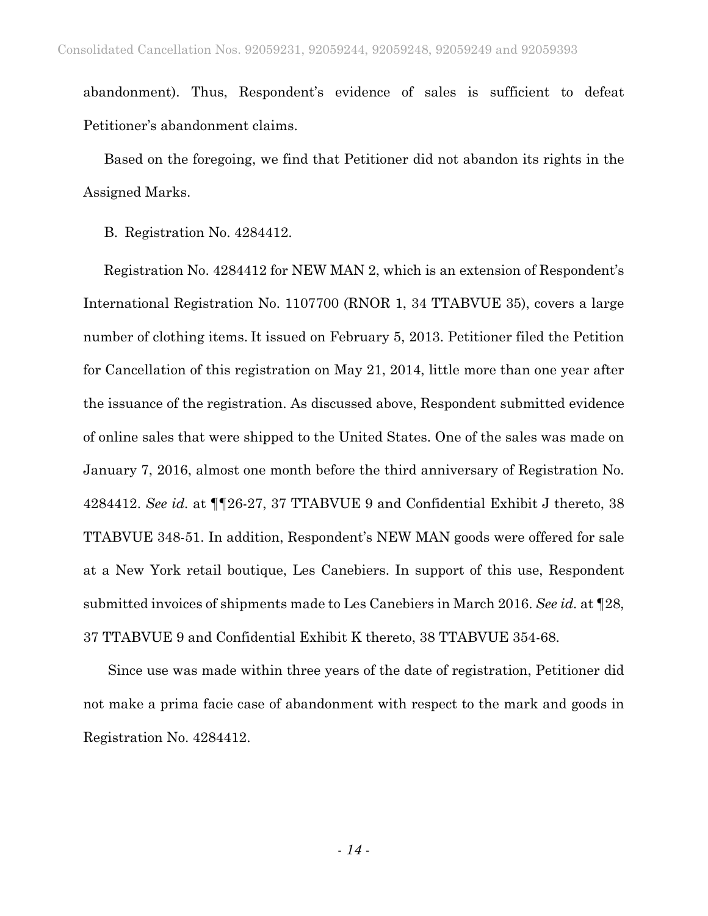abandonment). Thus, Respondent's evidence of sales is sufficient to defeat Petitioner's abandonment claims.

Based on the foregoing, we find that Petitioner did not abandon its rights in the Assigned Marks.

B. Registration No. 4284412.

Registration No. 4284412 for NEW MAN 2, which is an extension of Respondent's International Registration No. 1107700 (RNOR 1, 34 TTABVUE 35), covers a large number of clothing items. It issued on February 5, 2013. Petitioner filed the Petition for Cancellation of this registration on May 21, 2014, little more than one year after the issuance of the registration. As discussed above, Respondent submitted evidence of online sales that were shipped to the United States. One of the sales was made on January 7, 2016, almost one month before the third anniversary of Registration No. 4284412. *See id.* at ¶¶26-27, 37 TTABVUE 9 and Confidential Exhibit J thereto, 38 TTABVUE 348-51. In addition, Respondent's NEW MAN goods were offered for sale at a New York retail boutique, Les Canebiers. In support of this use, Respondent submitted invoices of shipments made to Les Canebiers in March 2016. *See id.* at ¶28, 37 TTABVUE 9 and Confidential Exhibit K thereto, 38 TTABVUE 354-68.

 Since use was made within three years of the date of registration, Petitioner did not make a prima facie case of abandonment with respect to the mark and goods in Registration No. 4284412.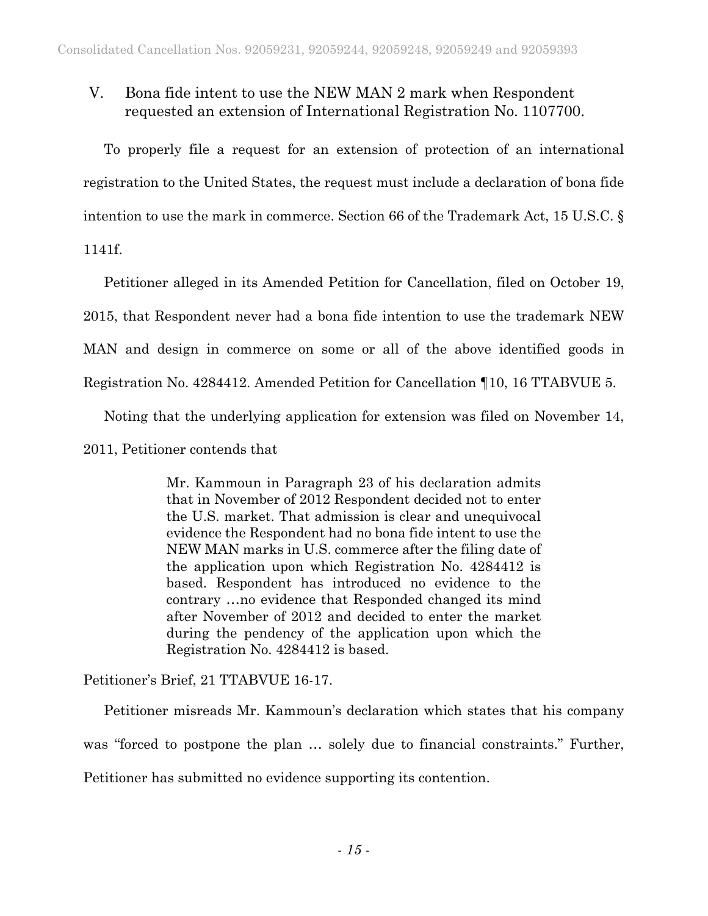# V. Bona fide intent to use the NEW MAN 2 mark when Respondent requested an extension of International Registration No. 1107700.

To properly file a request for an extension of protection of an international registration to the United States, the request must include a declaration of bona fide intention to use the mark in commerce. Section 66 of the Trademark Act, 15 U.S.C. §

1141f.

Petitioner alleged in its Amended Petition for Cancellation, filed on October 19,

2015, that Respondent never had a bona fide intention to use the trademark NEW

MAN and design in commerce on some or all of the above identified goods in

Registration No. 4284412. Amended Petition for Cancellation ¶10, 16 TTABVUE 5.

Noting that the underlying application for extension was filed on November 14,

2011, Petitioner contends that

Mr. Kammoun in Paragraph 23 of his declaration admits that in November of 2012 Respondent decided not to enter the U.S. market. That admission is clear and unequivocal evidence the Respondent had no bona fide intent to use the NEW MAN marks in U.S. commerce after the filing date of the application upon which Registration No. 4284412 is based. Respondent has introduced no evidence to the contrary …no evidence that Responded changed its mind after November of 2012 and decided to enter the market during the pendency of the application upon which the Registration No. 4284412 is based.

Petitioner's Brief, 21 TTABVUE 16-17.

Petitioner misreads Mr. Kammoun's declaration which states that his company was "forced to postpone the plan … solely due to financial constraints." Further, Petitioner has submitted no evidence supporting its contention.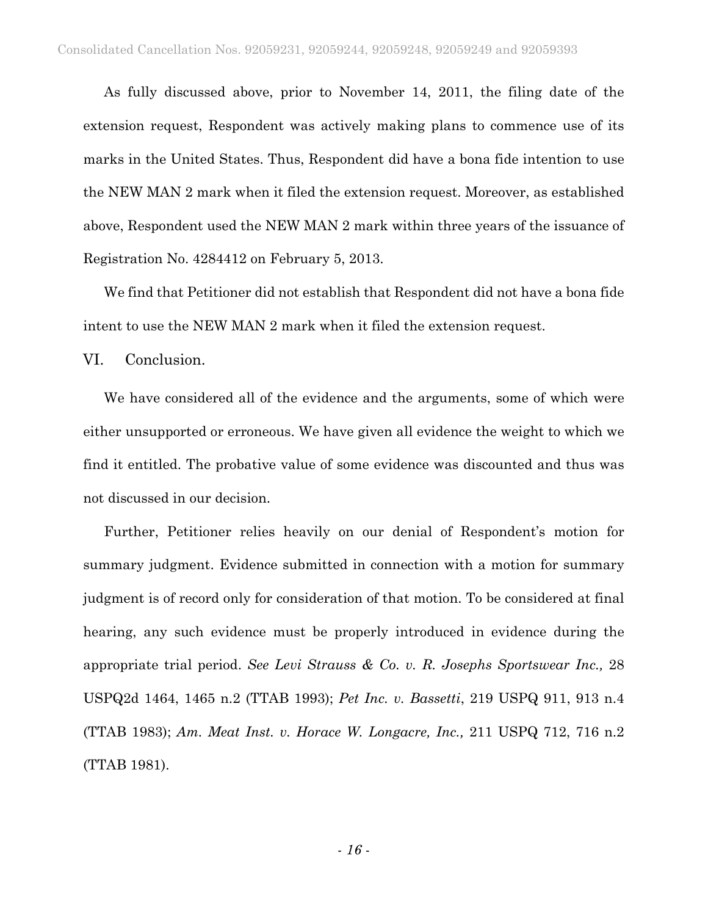As fully discussed above, prior to November 14, 2011, the filing date of the extension request, Respondent was actively making plans to commence use of its marks in the United States. Thus, Respondent did have a bona fide intention to use the NEW MAN 2 mark when it filed the extension request. Moreover, as established above, Respondent used the NEW MAN 2 mark within three years of the issuance of Registration No. 4284412 on February 5, 2013.

We find that Petitioner did not establish that Respondent did not have a bona fide intent to use the NEW MAN 2 mark when it filed the extension request.

VI. Conclusion.

We have considered all of the evidence and the arguments, some of which were either unsupported or erroneous. We have given all evidence the weight to which we find it entitled. The probative value of some evidence was discounted and thus was not discussed in our decision.

Further, Petitioner relies heavily on our denial of Respondent's motion for summary judgment. Evidence submitted in connection with a motion for summary judgment is of record only for consideration of that motion. To be considered at final hearing, any such evidence must be properly introduced in evidence during the appropriate trial period. *See Levi Strauss & Co. v. R. Josephs Sportswear Inc.,* 28 USPQ2d 1464, 1465 n.2 (TTAB 1993); *Pet Inc. v. Bassetti*, 219 USPQ 911, 913 n.4 (TTAB 1983); *Am. Meat Inst. v. Horace W. Longacre, Inc.,* 211 USPQ 712, 716 n.2 (TTAB 1981).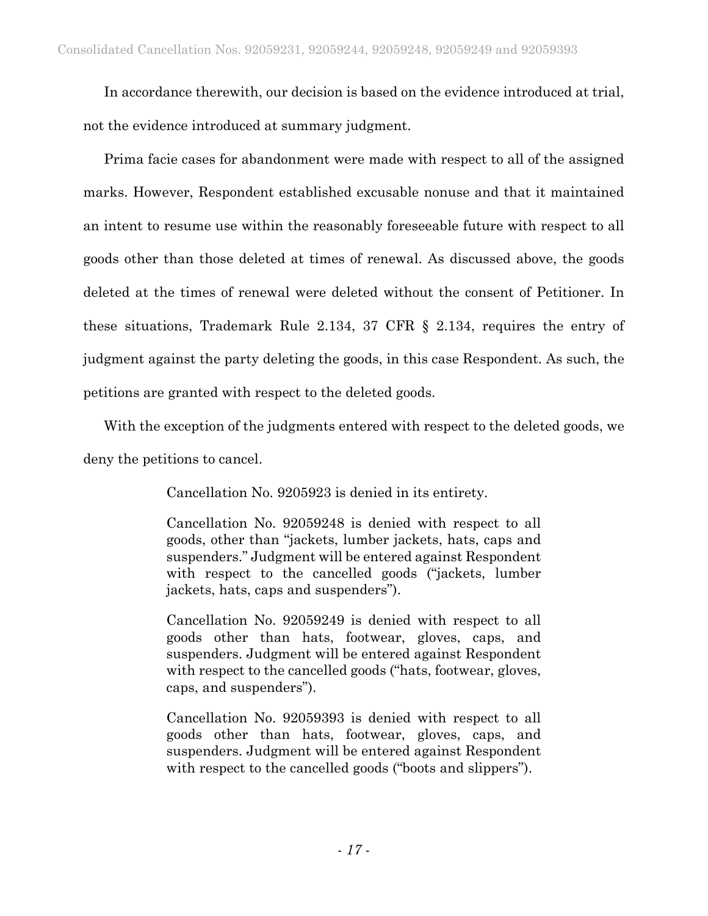In accordance therewith, our decision is based on the evidence introduced at trial, not the evidence introduced at summary judgment.

Prima facie cases for abandonment were made with respect to all of the assigned marks. However, Respondent established excusable nonuse and that it maintained an intent to resume use within the reasonably foreseeable future with respect to all goods other than those deleted at times of renewal. As discussed above, the goods deleted at the times of renewal were deleted without the consent of Petitioner. In these situations, Trademark Rule 2.134, 37 CFR § 2.134, requires the entry of judgment against the party deleting the goods, in this case Respondent. As such, the petitions are granted with respect to the deleted goods.

With the exception of the judgments entered with respect to the deleted goods, we deny the petitions to cancel.

Cancellation No. 9205923 is denied in its entirety.

Cancellation No. 92059248 is denied with respect to all goods, other than "jackets, lumber jackets, hats, caps and suspenders." Judgment will be entered against Respondent with respect to the cancelled goods ("jackets, lumber jackets, hats, caps and suspenders").

Cancellation No. 92059249 is denied with respect to all goods other than hats, footwear, gloves, caps, and suspenders. Judgment will be entered against Respondent with respect to the cancelled goods ("hats, footwear, gloves, caps, and suspenders").

Cancellation No. 92059393 is denied with respect to all goods other than hats, footwear, gloves, caps, and suspenders. Judgment will be entered against Respondent with respect to the cancelled goods ("boots and slippers").